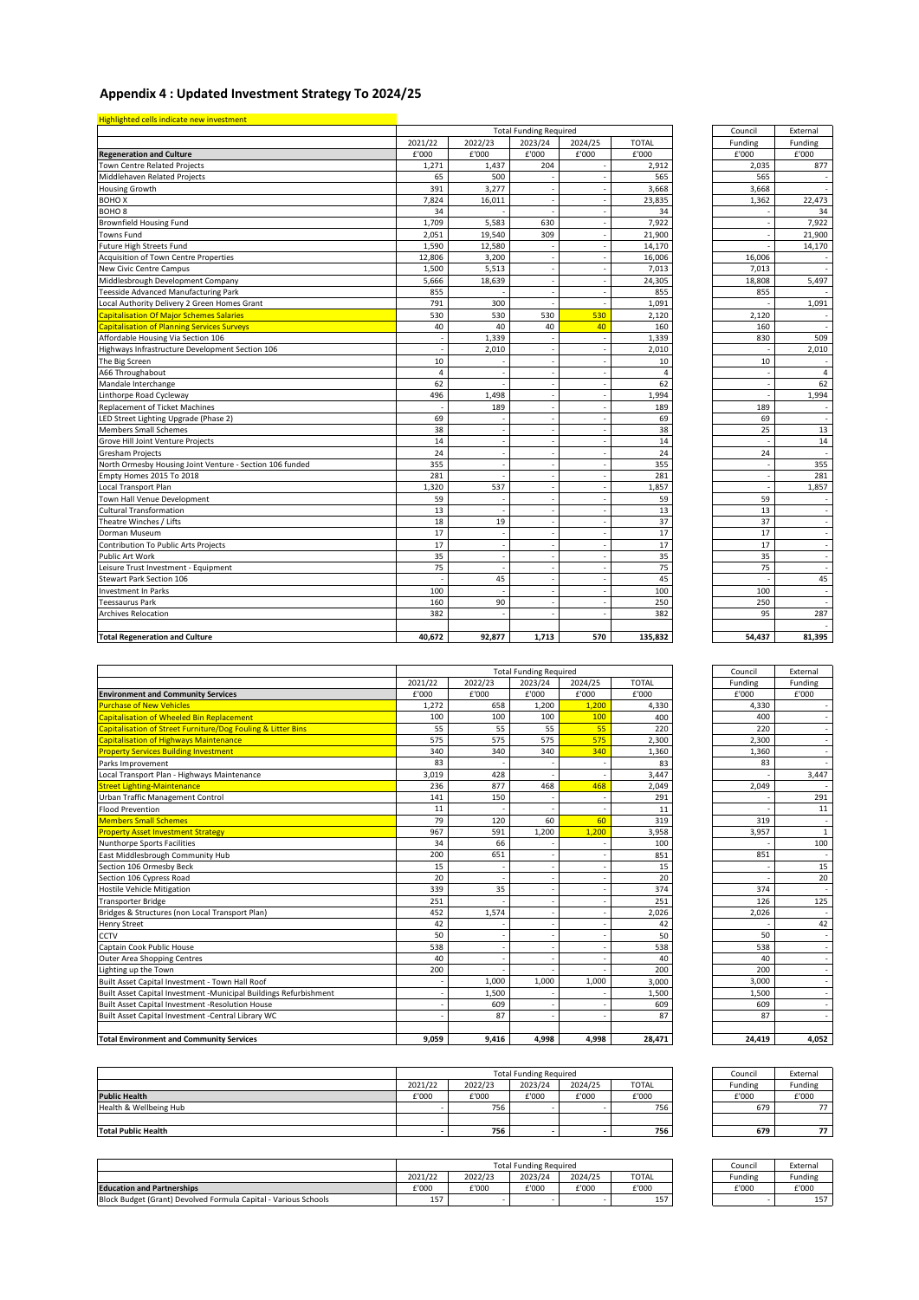## **Appendix 4 : Updated Investment Strategy To 2024/25**

| Highlighted cells indicate new investment                |                |         | <b>Total Funding Required</b> |         |                | Council                  | External  |
|----------------------------------------------------------|----------------|---------|-------------------------------|---------|----------------|--------------------------|-----------|
|                                                          | 2021/22        | 2022/23 | 2023/24                       | 2024/25 | <b>TOTAL</b>   | Funding                  | Funding   |
| <b>Regeneration and Culture</b>                          | £'000          | £'000   | £'000                         | £'000   | £'000          | £'000                    | £'000     |
| Town Centre Related Projects                             | 1,271          | 1,437   | 204                           |         | 2,912          | 2,035                    | 877       |
| Middlehaven Related Projects                             | 65             | 500     |                               |         | 565            | 565                      |           |
| Housing Growth                                           | 391            | 3,277   |                               |         | 3,668          | 3,668                    |           |
| <b>ВОНО Х</b>                                            | 7,824          | 16,011  |                               |         | 23,835         | 1,362                    | 22,473    |
| BOHO <sub>8</sub>                                        | 34             |         |                               |         | 34             |                          | 34        |
| Brownfield Housing Fund                                  | 1,709          | 5,583   | 630                           |         | 7,922          |                          | 7,922     |
| Towns Fund                                               | 2,051          | 19,540  | 309                           |         | 21,900         |                          | 21,900    |
| Future High Streets Fund                                 | 1,590          | 12,580  |                               |         | 14,170         |                          | 14,170    |
| Acquisition of Town Centre Properties                    | 12,806         | 3,200   |                               |         | 16,006         | 16,006                   |           |
| New Civic Centre Campus                                  | 1,500          | 5,513   |                               |         | 7,013          | 7,013                    |           |
| Middlesbrough Development Company                        | 5,666          | 18,639  |                               |         | 24,305         | 18,808                   | 5,497     |
| <b>Teesside Advanced Manufacturing Park</b>              | 855            |         |                               |         | 855            | 855                      |           |
| Local Authority Delivery 2 Green Homes Grant             | 791            | 300     |                               |         | 1,091          |                          | 1,091     |
| <b>Capitalisation Of Major Schemes Salaries</b>          | 530            | 530     | 530                           | 530     | 2,120          | 2,120                    |           |
| <b>Capitalisation of Planning Services Surveys</b>       | 40             | 40      | 40                            | 40      | 160            | 160                      |           |
| Affordable Housing Via Section 106                       |                | 1,339   |                               |         | 1,339          | 830                      | 509       |
| Highways Infrastructure Development Section 106          |                | 2,010   |                               |         | 2,010          |                          | 2,010     |
| The Big Screen                                           | 10             |         |                               |         | 10             | 10                       |           |
| A66 Throughabout                                         | $\overline{a}$ |         |                               |         | $\overline{4}$ |                          | $\lambda$ |
| Mandale Interchange                                      | 62             |         |                               |         | 62             |                          | 62        |
| Linthorpe Road Cycleway                                  | 496            | 1,498   |                               |         | 1,994          |                          | 1,994     |
| <b>Replacement of Ticket Machines</b>                    |                | 189     |                               |         | 189            | 189                      |           |
| LED Street Lighting Upgrade (Phase 2)                    | 69             |         |                               |         | 69             | 69                       |           |
| <b>Members Small Schemes</b>                             | 38             |         |                               |         | 38             | 25                       | 13        |
| Grove Hill Joint Venture Projects                        | 14             |         |                               |         | 14             |                          | 14        |
| <b>Gresham Projects</b>                                  | 24             |         |                               |         | 24             | 24                       |           |
| North Ormesby Housing Joint Venture - Section 106 funded | 355            |         |                               |         | 355            |                          | 355       |
| Empty Homes 2015 To 2018                                 | 281            |         | ٠                             |         | 281            | $\overline{\phantom{a}}$ | 281       |
| Local Transport Plan                                     | 1,320          | 537     |                               |         | 1,857          |                          | 1,857     |
| Town Hall Venue Development                              | 59             |         |                               |         | 59             | 59                       |           |
| <b>Cultural Transformation</b>                           | 13             |         |                               |         | 13             | 13                       |           |
| Theatre Winches / Lifts                                  | 18             | 19      |                               |         | 37             | 37                       |           |
| Dorman Museum                                            | 17             |         |                               |         | 17             | 17                       |           |
| Contribution To Public Arts Projects                     | 17             |         |                               |         | 17             | 17                       |           |
| <b>Public Art Work</b>                                   | 35             |         |                               |         | 35             | 35                       |           |
| Leisure Trust Investment - Equipment                     | 75             |         |                               |         | 75             | 75                       |           |
| Stewart Park Section 106                                 |                | 45      |                               |         | 45             |                          | 45        |
| Investment In Parks                                      | 100            |         |                               |         | 100            | 100                      |           |
| <b>Teessaurus Park</b>                                   | 160            | 90      |                               |         | 250            | 250                      |           |
| Archives Relocation                                      | 382            |         |                               |         | 382            | 95                       | 287       |
|                                                          |                |         |                               |         |                |                          |           |
| <b>Total Regeneration and Culture</b>                    | 40.672         | 92.877  | 1.713                         | 570     | 135.832        | 54.437                   | 81,395    |

| Council | External |
|---------|----------|
| Funding | Funding  |
| £'000   | £'000    |
| 2,035   | 877      |
| 565     |          |
| 3,668   |          |
| 1,362   | 22,473   |
|         | 34       |
|         | 7,922    |
|         | 21,900   |
|         |          |
|         | 14,170   |
| 16,006  |          |
| 7,013   |          |
| 18,808  | 5,497    |
| 855     |          |
|         | 1,091    |
| 2,120   |          |
| 160     |          |
| 830     | 509      |
|         | 2,010    |
| 10      |          |
|         | 4        |
|         | 62       |
|         | 1,994    |
| 189     |          |
| 69      |          |
| 25      | 13       |
|         | 14       |
| 24      |          |
|         | 355      |
|         | 281      |
|         | 1,857    |
| 59      |          |
|         |          |
| 13      | L,       |
| 37      |          |
| 17      |          |
| 17      |          |
| 35      |          |
| 75      |          |
|         | 45       |
| 100     |          |
| 250     |          |
| 95      | 287      |
|         |          |
| 54,437  | 81,395   |
|         |          |
| Council | External |
| Eunding | Eunding  |

|                                                                   |         |         | <b>Total Funding Required</b> |         |              | Council | External |
|-------------------------------------------------------------------|---------|---------|-------------------------------|---------|--------------|---------|----------|
|                                                                   | 2021/22 | 2022/23 | 2023/24                       | 2024/25 | <b>TOTAL</b> | Funding | Funding  |
| <b>Environment and Community Services</b>                         | £'000   | £'000   | £'000                         | £'000   | £'000        | £'000   | £'000    |
| <b>Purchase of New Vehicles</b>                                   | 1.272   | 658     | 1.200                         | 1.200   | 4,330        | 4.330   |          |
| <b>Capitalisation of Wheeled Bin Replacement</b>                  | 100     | 100     | 100                           | 100     | 400          | 400     |          |
| Capitalisation of Street Furniture/Dog Fouling & Litter Bins      | 55      | 55      | 55                            | 55      | 220          | 220     |          |
| <b>Capitalisation of Highways Maintenance</b>                     | 575     | 575     | 575                           | 575     | 2,300        | 2,300   |          |
| <b>Property Services Building Investment</b>                      | 340     | 340     | 340                           | 340     | 1,360        | 1.360   |          |
| Parks Improvement                                                 | 83      |         |                               |         | 83           | 83      |          |
| Local Transport Plan - Highways Maintenance                       | 3.019   | 428     |                               |         | 3,447        |         | 3,44     |
| <b>Street Lighting-Maintenance</b>                                | 236     | 877     | 468                           | 468     | 2,049        | 2,049   |          |
| Urban Traffic Management Control                                  | 141     | 150     |                               |         | 291          |         | 291      |
| <b>Flood Prevention</b>                                           | 11      |         |                               |         | 11           |         | 11       |
| <b>Members Small Schemes</b>                                      | 79      | 120     | 60                            | 60      | 319          | 319     |          |
| <b>Property Asset Investment Strategy</b>                         | 967     | 591     | 1.200                         | 1.200   | 3,958        | 3.957   |          |
| Nunthorpe Sports Facilities                                       | 34      | 66      |                               |         | 100          |         | 100      |
| East Middlesbrough Community Hub                                  | 200     | 651     |                               |         | 851          | 851     |          |
| Section 106 Ormesby Beck                                          | 15      |         |                               |         | 15           |         | 15       |
| Section 106 Cypress Road                                          | 20      |         |                               |         | 20           |         | 20       |
| <b>Hostile Vehicle Mitigation</b>                                 | 339     | 35      |                               |         | 374          | 374     |          |
| <b>Transporter Bridge</b>                                         | 251     |         |                               |         | 251          | 126     | 125      |
| Bridges & Structures (non Local Transport Plan)                   | 452     | 1,574   |                               |         | 2,026        | 2,026   |          |
| <b>Henry Street</b>                                               | 42      |         |                               |         | 42           |         | 42       |
| CCTV                                                              | 50      |         |                               |         | 50           | 50      |          |
| Captain Cook Public House                                         | 538     |         |                               |         | 538          | 538     |          |
| <b>Outer Area Shopping Centres</b>                                | 40      |         |                               |         | 40           | 40      |          |
| Lighting up the Town                                              | 200     |         |                               |         | 200          | 200     |          |
| Built Asset Capital Investment - Town Hall Roof                   |         | 1,000   | 1,000                         | 1,000   | 3,000        | 3.000   |          |
| Built Asset Capital Investment -Municipal Buildings Refurbishment |         | 1.500   |                               |         | 1,500        | 1.500   |          |
| Built Asset Capital Investment -Resolution House                  |         | 609     |                               |         | 609          | 609     |          |
| Built Asset Capital Investment -Central Library WC                |         | 87      |                               |         | 87           | 87      |          |
| <b>Total Environment and Community Services</b>                   | 9.059   | 9.416   | 4.998                         | 4.998   | 28.471       | 24.419  | 4,052    |

| Council | External        |
|---------|-----------------|
| Funding | Funding         |
| £'000   | £'000           |
| 4,330   |                 |
| 400     |                 |
| 220     |                 |
| 2,300   |                 |
| 1,360   |                 |
| 83      |                 |
|         | 3,447           |
| 2,049   |                 |
|         | 291             |
|         | 11              |
| 319     |                 |
| 3,957   | 1               |
|         | 100             |
| 851     |                 |
|         | 15              |
|         | $\overline{2}0$ |
| 374     |                 |
| 126     | 125             |
| 2,026   |                 |
|         | $\overline{42}$ |
| 50      |                 |
| 538     |                 |
| 40      |                 |
| 200     |                 |
| 3,000   |                 |
| 1,500   |                 |
| 609     |                 |
| 87      | i.              |
|         |                 |
| 24,419  | 4,052           |

|                            | <b>Total Funding Required</b> |         |         |         | Council      | External |         |
|----------------------------|-------------------------------|---------|---------|---------|--------------|----------|---------|
|                            | 2021/22                       | 2022/23 | 2023/24 | 2024/25 | <b>TOTAL</b> | Funding  | Funding |
| <b>Public Health</b>       | £'000                         | £'000   | £'000   | £'000   | £'000        | £'000    | £'000   |
| Health & Wellbeing Hub     |                               | 756     |         |         | 756          | 679      |         |
|                            |                               |         |         |         |              |          |         |
| <b>Total Public Health</b> |                               | 756     |         |         | 756          | 679      |         |

|                                                                 | <b>Total Funding Required</b> |         |         |         |              | Council | External |
|-----------------------------------------------------------------|-------------------------------|---------|---------|---------|--------------|---------|----------|
|                                                                 | 2021/22                       | 2022/23 | 2023/24 | 2024/25 | <b>TOTAL</b> | Funding | Funding  |
| <b>Education and Partnerships</b>                               | £'000                         | £'000   | £'000   | £'000   | £'000        | £'000   | £'000    |
| Block Budget (Grant) Devolved Formula Capital - Various Schools | ᆦ                             |         |         |         | 157          |         | 157      |

| Council | External |
|---------|----------|
| Funding | Funding  |
| £'000   | £'000    |
| 679     | 77       |
|         |          |
| 679     |          |

| Council | External |
|---------|----------|
| Funding | Funding  |
| f'000   | f'000    |
|         | 157      |